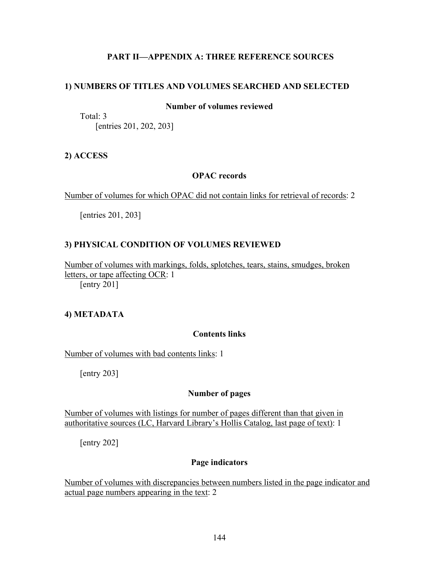## **PART II—APPENDIX A: THREE REFERENCE SOURCES**

### **1) NUMBERS OF TITLES AND VOLUMES SEARCHED AND SELECTED**

### **Number of volumes reviewed**

Total: 3 [entries 201, 202, 203]

### **2) ACCESS**

### **OPAC records**

Number of volumes for which OPAC did not contain links for retrieval of records: 2

[entries 201, 203]

#### **3) PHYSICAL CONDITION OF VOLUMES REVIEWED**

Number of volumes with markings, folds, splotches, tears, stains, smudges, broken letters, or tape affecting OCR: 1 [entry 201]

#### **4) METADATA**

#### **Contents links**

Number of volumes with bad contents links: 1

[entry 203]

### **Number of pages**

Number of volumes with listings for number of pages different than that given in authoritative sources (LC, Harvard Library's Hollis Catalog, last page of text): 1

[entry 202]

#### **Page indicators**

Number of volumes with discrepancies between numbers listed in the page indicator and actual page numbers appearing in the text: 2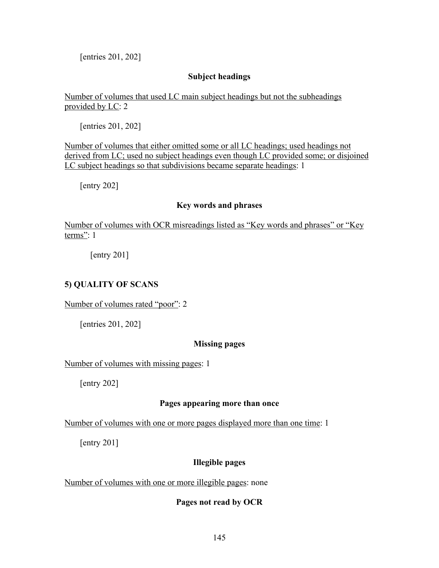[entries 201, 202]

## **Subject headings**

Number of volumes that used LC main subject headings but not the subheadings provided by LC: 2

[entries 201, 202]

Number of volumes that either omitted some or all LC headings; used headings not derived from LC; used no subject headings even though LC provided some; or disjoined LC subject headings so that subdivisions became separate headings: 1

[entry 202]

### **Key words and phrases**

Number of volumes with OCR misreadings listed as "Key words and phrases" or "Key terms": 1

[entry 201]

## **5) QUALITY OF SCANS**

Number of volumes rated "poor": 2

[entries 201, 202]

## **Missing pages**

Number of volumes with missing pages: 1

[entry 202]

### **Pages appearing more than once**

Number of volumes with one or more pages displayed more than one time: 1

[entry 201]

## **Illegible pages**

Number of volumes with one or more illegible pages: none

## **Pages not read by OCR**